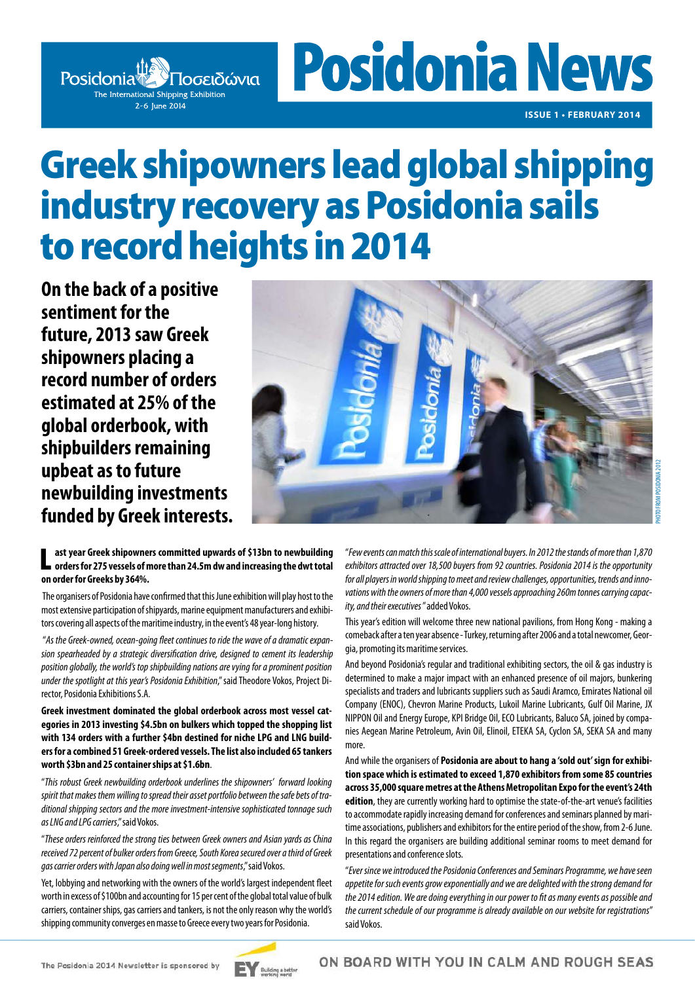

**Posidonia News** 

**ISSUE 1 • FEBRUARY 2014**

# Greek shipowners lead global shipping industry recovery as Posidonia sails to record heights in 2014

**On the back of a positive sentiment for the future, 2013 saw Greek shipowners placing a record number of orders estimated at 25% of the global orderbook, with shipbuilders remaining upbeat as to future newbuilding investments funded by Greek interests.**



L **ast year Greek shipowners committed upwards of \$13bn to newbuilding orders for 275 vessels of more than 24.5m dw and increasing the dwt total on order for Greeks by 364%.** 

 The organisers of Posidonia have confirmed that this June exhibition will play host to the most extensive participation of shipyards, marine equipment manufacturers and exhibitors covering all aspects of the maritime industry, in the event's 48 year-long history.

 "*As the Greek-owned, ocean-going fleet continues to ride the wave of a dramatic expansion spearheaded by a strategic diversification drive, designed to cement its leadership position globally, the world's top shipbuilding nations are vying for a prominent position under the spotlight at this year's Posidonia Exhibition*," said Theodore Vokos, Project Director, Posidonia Exhibitions S.A.

**Greek investment dominated the global orderbook across most vessel categories in 2013 investing \$4.5bn on bulkers which topped the shopping list with 134 orders with a further \$4bn destined for niche LPG and LNG builders for a combined 51 Greek-ordered vessels. The list also included 65 tankers worth \$3bn and 25 container ships at \$1.6bn**.

"*This robust Greek newbuilding orderbook underlines the shipowners' forward looking spirit that makes them willing to spread their asset portfolio between the safe bets of traditional shipping sectors and the more investment-intensive sophisticated tonnage such as LNG and LPG carriers*," said Vokos.

"*These orders reinforced the strong ties between Greek owners and Asian yards as China received 72 percent of bulker orders from Greece, South Korea secured over a third of Greek gas carrier orders with Japan also doing well in most segments*," said Vokos.

Yet, lobbying and networking with the owners of the world's largest independent fleet worth in excess of \$100bn and accounting for 15 per cent of the global total value of bulk carriers, container ships, gas carriers and tankers, is not the only reason why the world's shipping community converges en masse to Greece every two years for Posidonia.

"*Few events can match this scale of international buyers. In 2012 the stands of more than 1,870 exhibitors attracted over 18,500 buyers from 92 countries. Posidonia 2014 is the opportunity for all players in world shipping to meet and review challenges, opportunities, trends and innovations with the owners of more than 4,000 vessels approaching 260m tonnes carrying capacity, and their executives* " added Vokos.

This year's edition will welcome three new national pavilions, from Hong Kong - making a comeback after a ten year absence - Turkey, returning after 2006 and a total newcomer, Georgia, promoting its maritime services.

And beyond Posidonia's regular and traditional exhibiting sectors, the oil & gas industry is determined to make a major impact with an enhanced presence of oil majors, bunkering specialists and traders and lubricants suppliers such as Saudi Aramco, Emirates National oil Company (ENOC), Chevron Marine Products, Lukoil Marine Lubricants, Gulf Oil Marine, JX NIPPON Oil and Energy Europe, KPI Bridge Oil, ECO Lubricants, Baluco SA, joined by companies Aegean Marine Petroleum, Avin Oil, Elinoil, ETEKA SA, Cyclon SA, SEKA SA and many more.

And while the organisers of **Posidonia are about to hang a 'sold out' sign for exhibition space which is estimated to exceed 1,870 exhibitors from some 85 countries across 35,000 square metres at the Athens Metropolitan Expo for the event's 24th edition**, they are currently working hard to optimise the state-of-the-art venue's facilities to accommodate rapidly increasing demand for conferences and seminars planned by maritime associations, publishers and exhibitors for the entire period of the show, from 2-6 June. In this regard the organisers are building additional seminar rooms to meet demand for presentations and conference slots.

"*Ever since we introduced the Posidonia Conferences and Seminars Programme, we have seen appetite for such events grow exponentially and we are delighted with the strong demand for the 2014 edition. We are doing everything in our power to fit as many events as possible and the current schedule of our programme is already available on our website for registrations*" said Vokos.

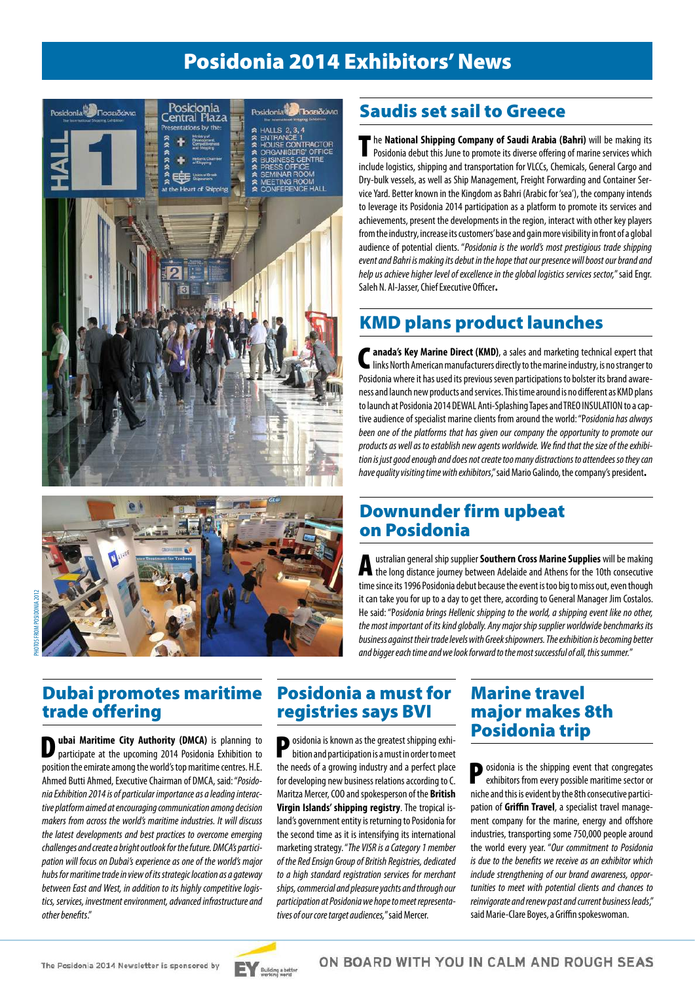### Posidonia 2014 Exhibitors' News





## PHOTOS FROM POSIDONIA 2012TOC AIMOUDOC

### Saudis set sail to Greece

The **National Shipping Company of Saudi Arabia (Bahri)** will be making its Posidonia debut this June to promote its diverse offering of marine services which include logistics, shipping and transportation for VLCCs, Chemicals, General Cargo and Dry-bulk vessels, as well as Ship Management, Freight Forwarding and Container Service Yard. Better known in the Kingdom as Bahri (Arabic for 'sea'), the company intends to leverage its Posidonia 2014 participation as a platform to promote its services and achievements, present the developments in the region, interact with other key players from the industry, increase its customers' base and gain more visibility in front of a global audience of potential clients. "*Posidonia is the world's most prestigious trade shipping event and Bahri is making its debut in the hope that our presence will boost our brand and help us achieve higher level of excellence in the global logistics services sector,*" said Engr. Saleh N. Al-Jasser, Chief Executive Officer.

#### KMD plans product launches

<sup>*n*</sup> anada's Key Marine Direct (KMD), a sales and marketing technical expert that links North American manufacturers directly to the marine industry, is no stranger to Posidonia where it has used its previous seven participations to bolster its brand awareness and launch new products and services. This time around is no different as KMD plans to launch at Posidonia 2014 DEWAL Anti-Splashing Tapes and TREO INSULATION to a captive audience of specialist marine clients from around the world: "P*osidonia has always*  been one of the platforms that has given our company the opportunity to promote our *products as well as to establish new agents worldwide. We find that the size of the exhibition is just good enough and does not create too many distractions to attendees so they can have quality visiting time with exhibitors*," said Mario Galindo, the company's president.

#### Downunder firm upbeat on Posidonia

Australian general ship supplier **Southern Cross Marine Supplies** will be making the long distance journey between Adelaide and Athens for the 10th consecutive time since its 1996 Posidonia debut because the event is too big to miss out, even though it can take you for up to a day to get there, according to General Manager Jim Costalos. He said: "P*osidonia brings Hellenic shipping to the world, a shipping event like no other, the most important of its kind globally. Any major ship supplier worldwide benchmarks its business against their trade levels with Greek shipowners. The exhibition is becoming better and bigger each time and we look forward to the most successful of all, this summer.*"

#### Dubai promotes maritime Posidonia a must for trade offering

**D** ubai Maritime City Authority (DMCA) is planning to participate at the upcoming 2014 Posidonia Exhibition to position the emirate among the world's top maritime centres. H.E. Ahmed Butti Ahmed, Executive Chairman of DMCA, said: "*Posidonia Exhibition 2014 is of particular importance as a leading interactive platform aimed at encouraging communication among decision makers from across the world's maritime industries. It will discuss the latest developments and best practices to overcome emerging challenges and create a bright outlook for the future. DMCA's participation will focus on Dubai's experience as one of the world's major hubs for maritime trade in view of its strategic location as a gateway between East and West, in addition to its highly competitive logistics, services, investment environment, advanced infrastructure and other benefits*."

## registries says BVI

**P** osidonia is known as the greatest shipping exhi-<br>hition and state is bition and participation is a must in order to meet the needs of a growing industry and a perfect place for developing new business relations according to C. Maritza Mercer, COO and spokesperson of the **British Virgin Islands' shipping registry**. The tropical island's government entity is returning to Posidonia for the second time as it is intensifying its international marketing strategy. "*The VISR is a Category 1 member of the Red Ensign Group of British Registries, dedicated to a high standard registration services for merchant ships, commercial and pleasure yachts and through our participation at Posidonia we hope to meet representatives of our core target audiences,*" said Mercer.

### Marine travel major makes 8th Posidonia trip

**P** osidonia is the shipping event that congregates exhibitors from every possible maritime sector or niche and this is evident by the 8th consecutive participation of **Griffin Travel**, a specialist travel management company for the marine, energy and offshore industries, transporting some 750,000 people around the world every year. "*Our commitment to Posidonia is due to the benefits we receive as an exhibitor which include strengthening of our brand awareness, opportunities to meet with potential clients and chances to reinvigorate and renew past and current business leads*," said Marie-Clare Boyes, a Griffin spokeswoman.